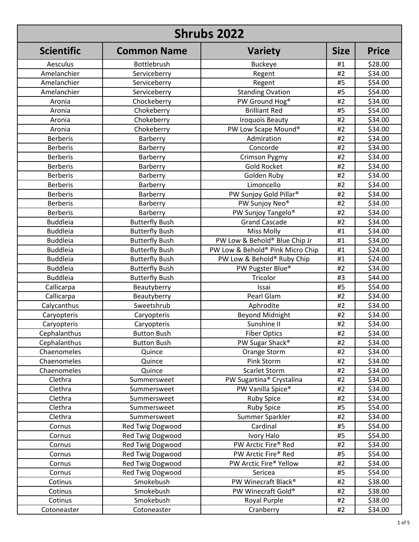| <b>Shrubs 2022</b> |                       |                                  |             |              |
|--------------------|-----------------------|----------------------------------|-------------|--------------|
| <b>Scientific</b>  | <b>Common Name</b>    | <b>Variety</b>                   | <b>Size</b> | <b>Price</b> |
| Aesculus           | Bottlebrush           | <b>Buckeye</b>                   | #1          | \$28.00      |
| Amelanchier        | Serviceberry          | Regent                           | #2          | \$34.00      |
| Amelanchier        | Serviceberry          | Regent                           | #5          | \$54.00      |
| Amelanchier        | Serviceberry          | <b>Standing Ovation</b>          | #5          | \$54.00      |
| Aronia             | Chockeberry           | PW Ground Hog®                   | #2          | \$34.00      |
| Aronia             | Chokeberry            | <b>Brilliant Red</b>             | #5          | \$54.00      |
| Aronia             | Chokeberry            | <b>Iroquois Beauty</b>           | #2          | \$34.00      |
| Aronia             | Chokeberry            | PW Low Scape Mound®              | #2          | \$34.00      |
| <b>Berberis</b>    | Barberry              | Admiration                       | #2          | \$34.00      |
| <b>Berberis</b>    | Barberry              | Concorde                         | #2          | 534.00       |
| <b>Berberis</b>    | Barberry              | <b>Crimson Pygmy</b>             | #2          | \$34.00      |
| <b>Berberis</b>    | Barberry              | <b>Gold Rocket</b>               | #2          | \$34.00      |
| <b>Berberis</b>    | Barberry              | Golden Ruby                      | #2          | \$34.00      |
| <b>Berberis</b>    | Barberry              | Limoncello                       | #2          | \$34.00      |
| <b>Berberis</b>    | Barberry              | PW Sunjoy Gold Pillar®           | #2          | \$34.00      |
| <b>Berberis</b>    | Barberry              | PW Sunjoy Neo®                   | #2          | \$34.00      |
| <b>Berberis</b>    | Barberry              | PW Sunjoy Tangelo <sup>®</sup>   | #2          | \$34.00      |
| <b>Buddleia</b>    | <b>Butterfly Bush</b> | <b>Grand Cascade</b>             | #2          | \$34.00      |
| <b>Buddleia</b>    | <b>Butterfly Bush</b> | <b>Miss Molly</b>                | #1          | \$34.00      |
| <b>Buddleia</b>    | <b>Butterfly Bush</b> | PW Low & Behold® Blue Chip Jr    | #1          | \$34.00      |
| <b>Buddleia</b>    | <b>Butterfly Bush</b> | PW Low & Behold® Pink Micro Chip | #1          | \$24.00      |
| <b>Buddleia</b>    | <b>Butterfly Bush</b> | PW Low & Behold® Ruby Chip       | #1          | \$24.00      |
| <b>Buddleia</b>    | <b>Butterfly Bush</b> | PW Pugster Blue®                 | #2          | \$34.00      |
| <b>Buddleia</b>    | <b>Butterfly Bush</b> | Tricolor                         | #3          | \$44.00      |
| Callicarpa         | Beautyberry           | Issai                            | #5          | \$54.00      |
| Callicarpa         | Beautyberry           | Pearl Glam                       | #2          | \$34.00      |
| Calycanthus        | Sweetshrub            | Aphrodite                        | #2          | \$34.00      |
| Caryopteris        | Caryopteris           | <b>Beyond Midnight</b>           | #2          | \$34.00      |
| Caryopteris        | Caryopteris           | Sunshine II                      | #2          | \$34.00      |
| Cephalanthus       | <b>Button Bush</b>    | <b>Fiber Optics</b>              | #2          | \$34.00      |
| Cephalanthus       | <b>Button Bush</b>    | PW Sugar Shack <sup>®</sup>      | #2          | \$34.00      |
| Chaenomeles        | Quince                | Orange Storm                     | #2          | \$34.00      |
| Chaenomeles        | Quince                | Pink Storm                       | #2          | \$34.00      |
| Chaenomeles        | Quince                | <b>Scarlet Storm</b>             | #2          | \$34.00      |
| Clethra            | Summersweet           | PW Sugartina® Crystalina         | #2          | \$34.00      |
| Clethra            | Summersweet           | PW Vanilla Spice®                | #2          | \$34.00      |
| Clethra            | Summersweet           | <b>Ruby Spice</b>                | #2          | \$34.00      |
| Clethra            | Summersweet           | <b>Ruby Spice</b>                | #5          | \$54.00      |
| Clethra            | Summersweet           | Summer Sparkler                  | #2          | \$34.00      |
| Cornus             | Red Twig Dogwood      | Cardinal                         | #5          | \$54.00      |
| Cornus             | Red Twig Dogwood      | Ivory Halo                       | #5          | \$54.00      |
| Cornus             | Red Twig Dogwood      | PW Arctic Fire® Red              | #2          | \$34.00      |
| Cornus             | Red Twig Dogwood      | PW Arctic Fire® Red              | #5          | \$54.00      |
| Cornus             | Red Twig Dogwood      | PW Arctic Fire® Yellow           | #2          | \$34.00      |
| Cornus             | Red Twig Dogwood      | Sericea                          | #5          | \$54.00      |
| Cotinus            | Smokebush             | PW Winecraft Black®              | #2          | \$38.00      |
| Cotinus            | Smokebush             | PW Winecraft Gold®               | #2          | \$38.00      |
| Cotinus            | Smokebush             | Royal Purple                     | #2          | \$38.00      |
| Cotoneaster        | Cotoneaster           | Cranberry                        | #2          | \$34.00      |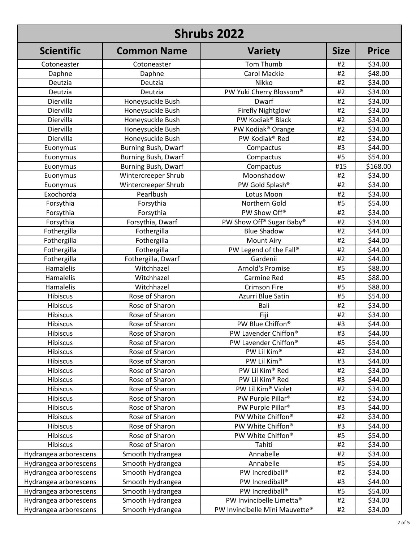| <b>Shrubs 2022</b>    |                     |                                                  |             |              |
|-----------------------|---------------------|--------------------------------------------------|-------------|--------------|
| <b>Scientific</b>     | <b>Common Name</b>  | <b>Variety</b>                                   | <b>Size</b> | <b>Price</b> |
| Cotoneaster           | Cotoneaster         | Tom Thumb                                        | #2          | \$34.00      |
| Daphne                | Daphne              | <b>Carol Mackie</b>                              | #2          | \$48.00      |
| Deutzia               | Deutzia             | Nikko                                            | #2          | \$34.00      |
| Deutzia               | Deutzia             | PW Yuki Cherry Blossom®                          | #2          | \$34.00      |
| Diervilla             | Honeysuckle Bush    | Dwarf                                            | #2          | \$34.00      |
| Diervilla             | Honeysuckle Bush    | Firefly Nightglow                                | #2          | \$34.00      |
| Diervilla             | Honeysuckle Bush    | PW Kodiak <sup>®</sup> Black                     | #2          | \$34.00      |
| Diervilla             | Honeysuckle Bush    | PW Kodiak <sup>®</sup> Orange                    | #2          | \$34.00      |
| Diervilla             | Honeysuckle Bush    | PW Kodiak® Red                                   | #2          | \$34.00      |
| Euonymus              | Burning Bush, Dwarf | Compactus                                        | #3          | \$44.00      |
| Euonymus              | Burning Bush, Dwarf | Compactus                                        | #5          | \$54.00      |
| Euonymus              | Burning Bush, Dwarf | Compactus                                        | #15         | \$168.00     |
| Euonymus              | Wintercreeper Shrub | Moonshadow                                       | #2          | \$34.00      |
| Euonymus              | Wintercreeper Shrub | PW Gold Splash®                                  | #2          | \$34.00      |
| Exochorda             | Pearlbush           | Lotus Moon                                       | #2          | \$34.00      |
| Forsythia             | Forsythia           | Northern Gold                                    | #5          | \$54.00      |
| Forsythia             | Forsythia           | PW Show Off®                                     | #2          | \$34.00      |
| Forsythia             | Forsythia, Dwarf    | PW Show Off <sup>®</sup> Sugar Baby <sup>®</sup> | #2          | \$34.00      |
| Fothergilla           | Fothergilla         | <b>Blue Shadow</b>                               | #2          | \$44.00      |
| Fothergilla           | Fothergilla         | <b>Mount Airy</b>                                | #2          | \$44.00      |
| Fothergilla           | Fothergilla         | PW Legend of the Fall®                           | #2          | \$44.00      |
| Fothergilla           | Fothergilla, Dwarf  | Gardenii                                         | #2          | \$44.00      |
| Hamalelis             | Witchhazel          | <b>Arnold's Promise</b>                          | #5          | \$88.00      |
| Hamalelis             | Witchhazel          | <b>Carmine Red</b>                               | #5          | \$88.00      |
| Hamalelis             | Witchhazel          | <b>Crimson Fire</b>                              | #5          | \$88.00      |
| Hibiscus              | Rose of Sharon      | Azurri Blue Satin                                | #5          | \$54.00      |
| Hibiscus              | Rose of Sharon      | Bali                                             | #2          | \$34.00      |
| Hibiscus              | Rose of Sharon      | Fiji                                             | #2          | \$34.00      |
| Hibiscus              | Rose of Sharon      | PW Blue Chiffon®                                 | #3          | \$44.00      |
| Hibiscus              | Rose of Sharon      | PW Lavender Chiffon®                             | #3          | \$44.00      |
| <b>Hibiscus</b>       | Rose of Sharon      | PW Lavender Chiffon®                             | #5          | \$54.00      |
| Hibiscus              | Rose of Sharon      | PW Lil Kim®                                      | #2          | \$34.00      |
| Hibiscus              | Rose of Sharon      | PW Lil Kim®                                      | #3          | \$44.00      |
| Hibiscus              | Rose of Sharon      | PW Lil Kim® Red                                  | #2          | \$34.00      |
| Hibiscus              | Rose of Sharon      | PW Lil Kim® Red                                  | #3          | \$44.00      |
| Hibiscus              | Rose of Sharon      | PW Lil Kim <sup>®</sup> Violet                   | #2          | \$34.00      |
| Hibiscus              | Rose of Sharon      | PW Purple Pillar <sup>®</sup>                    | #2          | \$34.00      |
| Hibiscus              | Rose of Sharon      | PW Purple Pillar <sup>®</sup>                    | #3          | \$44.00      |
| Hibiscus              | Rose of Sharon      | PW White Chiffon®                                | #2          | \$34.00      |
| Hibiscus              | Rose of Sharon      | PW White Chiffon®                                | #3          | \$44.00      |
| Hibiscus              | Rose of Sharon      | PW White Chiffon®                                | #5          | \$54.00      |
| Hibiscus              | Rose of Sharon      | Tahiti                                           | #2          | \$34.00      |
| Hydrangea arborescens | Smooth Hydrangea    | Annabelle                                        | #2          | \$34.00      |
| Hydrangea arborescens | Smooth Hydrangea    | Annabelle                                        | #5          | \$54.00      |
| Hydrangea arborescens | Smooth Hydrangea    | PW Incrediball®                                  | #2          | \$34.00      |
| Hydrangea arborescens | Smooth Hydrangea    | PW Incrediball®                                  | #3          | \$44.00      |
| Hydrangea arborescens | Smooth Hydrangea    | PW Incrediball®                                  | #5          | \$54.00      |
| Hydrangea arborescens | Smooth Hydrangea    | PW Invincibelle Limetta®                         | #2          | \$34.00      |
| Hydrangea arborescens | Smooth Hydrangea    | PW Invincibelle Mini Mauvette®                   | #2          | \$34.00      |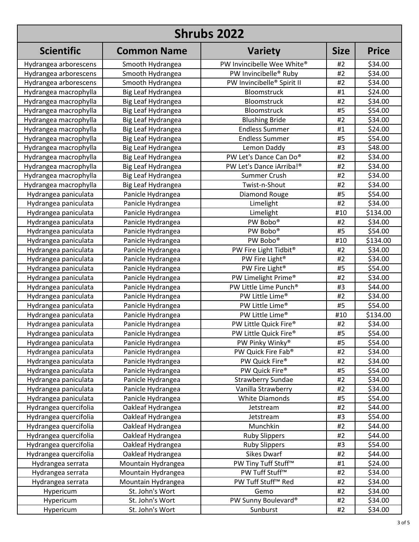| <b>Shrubs 2022</b>    |                    |                                |             |              |
|-----------------------|--------------------|--------------------------------|-------------|--------------|
| <b>Scientific</b>     | <b>Common Name</b> | <b>Variety</b>                 | <b>Size</b> | <b>Price</b> |
| Hydrangea arborescens | Smooth Hydrangea   | PW Invincibelle Wee White®     | #2          | \$34.00      |
| Hydrangea arborescens | Smooth Hydrangea   | PW Invincibelle® Ruby          | #2          | \$34.00      |
| Hydrangea arborescens | Smooth Hydrangea   | PW Invincibelle® Spirit II     | #2          | \$34.00      |
| Hydrangea macrophylla | Big Leaf Hydrangea | Bloomstruck                    | #1          | \$24.00      |
| Hydrangea macrophylla | Big Leaf Hydrangea | Bloomstruck                    | #2          | \$34.00      |
| Hydrangea macrophylla | Big Leaf Hydrangea | Bloomstruck                    | #5          | \$54.00      |
| Hydrangea macrophylla | Big Leaf Hydrangea | <b>Blushing Bride</b>          | #2          | \$34.00      |
| Hydrangea macrophylla | Big Leaf Hydrangea | <b>Endless Summer</b>          | #1          | \$24.00      |
| Hydrangea macrophylla | Big Leaf Hydrangea | <b>Endless Summer</b>          | #5          | \$54.00      |
| Hydrangea macrophylla | Big Leaf Hydrangea | Lemon Daddy                    | #3          | \$48.00      |
| Hydrangea macrophylla | Big Leaf Hydrangea | PW Let's Dance Can Do®         | #2          | \$34.00      |
| Hydrangea macrophylla | Big Leaf Hydrangea | PW Let's Dance iArriba!®       | #2          | \$34.00      |
| Hydrangea macrophylla | Big Leaf Hydrangea | Summer Crush                   | #2          | \$34.00      |
| Hydrangea macrophylla | Big Leaf Hydrangea | Twist-n-Shout                  | #2          | \$34.00      |
| Hydrangea paniculata  | Panicle Hydrangea  | Diamond Rouge                  | #5          | \$54.00      |
| Hydrangea paniculata  | Panicle Hydrangea  | Limelight                      | #2          | \$34.00      |
| Hydrangea paniculata  | Panicle Hydrangea  | Limelight                      | #10         | \$134.00     |
| Hydrangea paniculata  | Panicle Hydrangea  | PW Bobo®                       | #2          | \$34.00      |
| Hydrangea paniculata  | Panicle Hydrangea  | PW Bobo®                       | #5          | \$54.00      |
| Hydrangea paniculata  | Panicle Hydrangea  | PW Bobo®                       | #10         | \$134.00     |
| Hydrangea paniculata  | Panicle Hydrangea  | PW Fire Light Tidbit®          | #2          | \$34.00      |
| Hydrangea paniculata  | Panicle Hydrangea  | PW Fire Light®                 | #2          | \$34.00      |
| Hydrangea paniculata  | Panicle Hydrangea  | PW Fire Light®                 | #5          | \$54.00      |
| Hydrangea paniculata  | Panicle Hydrangea  | PW Limelight Prime®            | #2          | \$34.00      |
| Hydrangea paniculata  | Panicle Hydrangea  | PW Little Lime Punch®          | #3          | \$44.00      |
| Hydrangea paniculata  | Panicle Hydrangea  | PW Little Lime®                | #2          | \$34.00      |
| Hydrangea paniculata  | Panicle Hydrangea  | PW Little Lime®                | #5          | \$54.00      |
| Hydrangea paniculata  | Panicle Hydrangea  | PW Little Lime®                | #10         | \$134.00     |
| Hydrangea paniculata  | Panicle Hydrangea  | PW Little Quick Fire®          | #2          | \$34.00      |
| Hydrangea paniculata  | Panicle Hydrangea  | PW Little Quick Fire®          | #5          | \$54.00      |
| Hydrangea paniculata  | Panicle Hydrangea  | PW Pinky Winky®                | #5          | \$54.00      |
| Hydrangea paniculata  | Panicle Hydrangea  | PW Quick Fire Fab <sup>®</sup> | #2          | \$34.00      |
| Hydrangea paniculata  | Panicle Hydrangea  | PW Quick Fire®                 | #2          | \$34.00      |
| Hydrangea paniculata  | Panicle Hydrangea  | PW Quick Fire®                 | #5          | \$54.00      |
| Hydrangea paniculata  | Panicle Hydrangea  | <b>Strawberry Sundae</b>       | #2          | \$34.00      |
| Hydrangea paniculata  | Panicle Hydrangea  | Vanilla Strawberry             | #2          | \$34.00      |
| Hydrangea paniculata  | Panicle Hydrangea  | <b>White Diamonds</b>          | #5          | \$54.00      |
| Hydrangea quercifolia | Oakleaf Hydrangea  | Jetstream                      | #2          | \$44.00      |
| Hydrangea quercifolia | Oakleaf Hydrangea  | Jetstream                      | #3          | \$54.00      |
| Hydrangea quercifolia | Oakleaf Hydrangea  | Munchkin                       | #2          | \$44.00      |
| Hydrangea quercifolia | Oakleaf Hydrangea  | <b>Ruby Slippers</b>           | #2          | \$44.00      |
| Hydrangea quercifolia | Oakleaf Hydrangea  | <b>Ruby Slippers</b>           | #3          | \$54.00      |
| Hydrangea quercifolia | Oakleaf Hydrangea  | Sikes Dwarf                    | #2          | \$44.00      |
| Hydrangea serrata     | Mountain Hydrangea | PW Tiny Tuff Stuff™            | #1          | \$24.00      |
| Hydrangea serrata     | Mountain Hydrangea | PW Tuff Stuff™                 | #2          | \$34.00      |
| Hydrangea serrata     | Mountain Hydrangea | PW Tuff Stuff™ Red             | #2          | \$34.00      |
| Hypericum             | St. John's Wort    | Gemo                           | #2          | \$34.00      |
| Hypericum             | St. John's Wort    | PW Sunny Boulevard®            | #2          | \$34.00      |
| Hypericum             | St. John's Wort    | Sunburst                       | #2          | \$34.00      |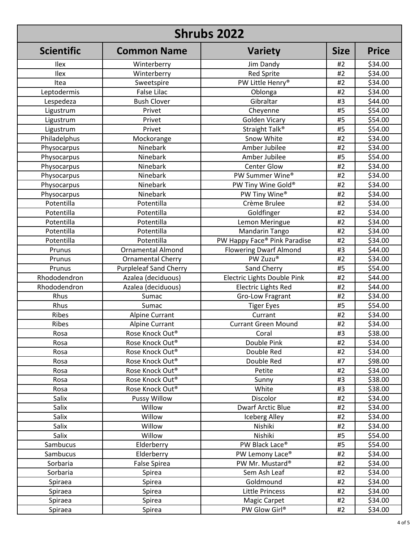| <b>Shrubs 2022</b> |                               |                               |             |              |
|--------------------|-------------------------------|-------------------------------|-------------|--------------|
| <b>Scientific</b>  | <b>Common Name</b>            | <b>Variety</b>                | <b>Size</b> | <b>Price</b> |
| Ilex               | Winterberry                   | Jim Dandy                     | #2          | \$34.00      |
| Ilex               | Winterberry                   | <b>Red Sprite</b>             | #2          | \$34.00      |
| Itea               | Sweetspire                    | PW Little Henry®              | #2          | \$34.00      |
| Leptodermis        | False Lilac                   | Oblonga                       | #2          | \$34.00      |
| Lespedeza          | <b>Bush Clover</b>            | Gibraltar                     | #3          | \$44.00      |
| Ligustrum          | Privet                        | Cheyenne                      | #5          | \$54.00      |
| Ligustrum          | Privet                        | <b>Golden Vicary</b>          | #5          | \$54.00      |
| Ligustrum          | Privet                        | Straight Talk <sup>®</sup>    | #5          | \$54.00      |
| Philadelphus       | Mockorange                    | Snow White                    | #2          | \$34.00      |
| Physocarpus        | Ninebark                      | Amber Jubilee                 | #2          | \$34.00      |
| Physocarpus        | Ninebark                      | Amber Jubilee                 | #5          | 554.00       |
| Physocarpus        | Ninebark                      | Center Glow                   | #2          | \$34.00      |
| Physocarpus        | Ninebark                      | PW Summer Wine®               | #2          | \$34.00      |
| Physocarpus        | Ninebark                      | PW Tiny Wine Gold®            | #2          | \$34.00      |
| Physocarpus        | Ninebark                      | PW Tiny Wine®                 | #2          | \$34.00      |
| Potentilla         | Potentilla                    | Crème Brulee                  | #2          | \$34.00      |
| Potentilla         | Potentilla                    | Goldfinger                    | #2          | \$34.00      |
| Potentilla         | Potentilla                    | Lemon Meringue                | #2          | \$34.00      |
| Potentilla         | Potentilla                    | Mandarin Tango                | #2          | \$34.00      |
| Potentilla         | Potentilla                    | PW Happy Face® Pink Paradise  | #2          | \$34.00      |
| Prunus             | <b>Ornamental Almond</b>      | <b>Flowering Dwarf Almond</b> | #3          | \$44.00      |
| Prunus             | <b>Ornamental Cherry</b>      | PW Zuzu®                      | #2          | \$34.00      |
| Prunus             | <b>Purpleleaf Sand Cherry</b> | Sand Cherry                   | #5          | \$54.00      |
| Rhododendron       | Azalea (deciduous)            | Electric Lights Double Pink   | #2          | \$44.00      |
| Rhododendron       | Azalea (deciduous)            | <b>Electric Lights Red</b>    | #2          | \$44.00      |
| Rhus               | Sumac                         | Gro-Low Fragrant              | #2          | \$34.00      |
| Rhus               | Sumac                         | <b>Tiger Eyes</b>             | #5          | \$54.00      |
| Ribes              | <b>Alpine Currant</b>         | Currant                       | #2          | \$34.00      |
| Ribes              | <b>Alpine Currant</b>         | <b>Currant Green Mound</b>    | #2          | \$34.00      |
| Rosa               | Rose Knock Out®               | Coral                         | #3          | \$38.00      |
| Rosa               | Rose Knock Out®               | Double Pink                   | #2          | \$34.00      |
| Rosa               | Rose Knock Out®               | Double Red                    | #2          | \$34.00      |
| Rosa               | Rose Knock Out®               | Double Red                    | #7          | \$98.00      |
| Rosa               | Rose Knock Out®               | Petite                        | #2          | \$34.00      |
| Rosa               | Rose Knock Out®               | Sunny                         | #3          | \$38.00      |
| Rosa               | Rose Knock Out®               | White                         | #3          | \$38.00      |
| Salix              | <b>Pussy Willow</b>           | Discolor                      | #2          | \$34.00      |
| Salix              | Willow                        | <b>Dwarf Arctic Blue</b>      | #2          | \$34.00      |
| Salix              | Willow                        | Iceberg Alley                 | #2          | \$34.00      |
| Salix              | Willow                        | Nishiki                       | #2          | \$34.00      |
| Salix              | Willow                        | Nishiki                       | #5          | \$54.00      |
| Sambucus           | Elderberry                    | PW Black Lace®                | #5          | \$54.00      |
| Sambucus           | Elderberry                    | PW Lemony Lace®               | #2          | \$34.00      |
| Sorbaria           | <b>False Spirea</b>           | PW Mr. Mustard®               | #2          | \$34.00      |
| Sorbaria           | Spirea                        | Sem Ash Leaf                  | #2          | \$34.00      |
| Spiraea            | Spirea                        | Goldmound                     | #2          | \$34.00      |
| Spiraea            | Spirea                        | <b>Little Princess</b>        | #2          | \$34.00      |
| Spiraea            | Spirea                        | <b>Magic Carpet</b>           | #2          | \$34.00      |
| Spiraea            | Spirea                        | PW Glow Girl®                 | #2          | \$34.00      |